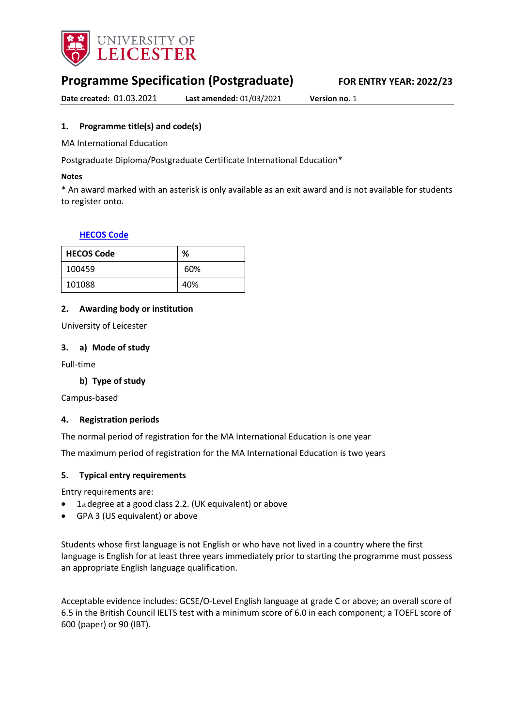

# **Programme Specification (Postgraduate) FOR ENTRY YEAR: 2022/23**

**Date created:** 01.03.2021 **Last amended:** 01/03/2021 **Version no.** 1

### <span id="page-0-0"></span>**1. Programme title(s) and code(s)**

MA International Education

Postgraduate Diploma/Postgraduate Certificate International Education\*

#### **Notes**

\* An award marked with an asterisk is only available as an exit award and is not available for students to register onto.

#### **[HECOS Code](https://www.hesa.ac.uk/innovation/hecos)**

| <b>HECOS Code</b> | %   |
|-------------------|-----|
| 100459            | 60% |
| 101088            | 40% |

#### **2. Awarding body or institution**

University of Leicester

#### **3. a) Mode of study**

Full-time

### **b) Type of study**

Campus-based

#### **4. Registration periods**

The normal period of registration for the MA International Education is one year

The maximum period of registration for the MA International Education is two years

#### **5. Typical entry requirements**

Entry requirements are:

- 1st degree at a good class 2.2. (UK equivalent) or above
- GPA 3 (US equivalent) or above

Students whose first language is not English or who have not lived in a country where the first language is English for at least three years immediately prior to starting the programme must possess an appropriate English language qualification.

Acceptable evidence includes: GCSE/O-Level English language at grade C or above; an overall score of 6.5 in the British Council IELTS test with a minimum score of 6.0 in each component; a TOEFL score of 600 (paper) or 90 (IBT).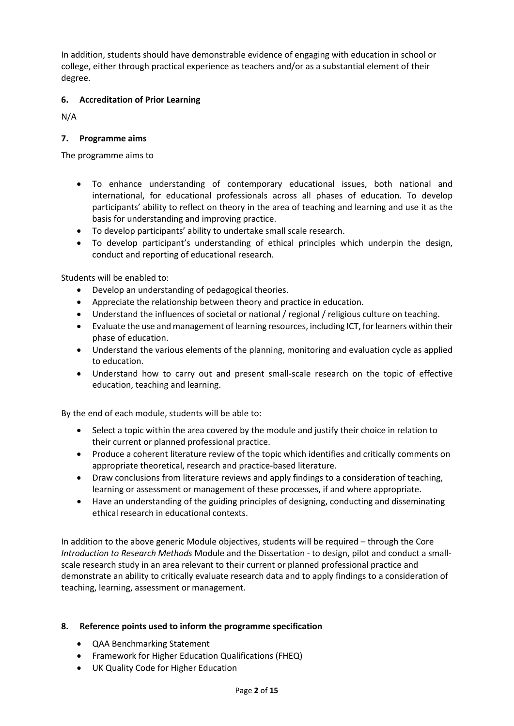In addition, students should have demonstrable evidence of engaging with education in school or college, either through practical experience as teachers and/or as a substantial element of their degree.

# **6. Accreditation of Prior Learning**

N/A

# **7. Programme aims**

The programme aims to

- To enhance understanding of contemporary educational issues, both national and international, for educational professionals across all phases of education. To develop participants' ability to reflect on theory in the area of teaching and learning and use it as the basis for understanding and improving practice.
- To develop participants' ability to undertake small scale research.
- To develop participant's understanding of ethical principles which underpin the design, conduct and reporting of educational research.

Students will be enabled to:

- Develop an understanding of pedagogical theories.
- Appreciate the relationship between theory and practice in education.
- Understand the influences of societal or national / regional / religious culture on teaching.
- Evaluate the use and management of learning resources, including ICT, for learners within their phase of education.
- Understand the various elements of the planning, monitoring and evaluation cycle as applied to education.
- Understand how to carry out and present small-scale research on the topic of effective education, teaching and learning.

By the end of each module, students will be able to:

- Select a topic within the area covered by the module and justify their choice in relation to their current or planned professional practice.
- Produce a coherent literature review of the topic which identifies and critically comments on appropriate theoretical, research and practice-based literature.
- Draw conclusions from literature reviews and apply findings to a consideration of teaching, learning or assessment or management of these processes, if and where appropriate.
- Have an understanding of the guiding principles of designing, conducting and disseminating ethical research in educational contexts.

In addition to the above generic Module objectives, students will be required – through the Core *Introduction to Research Methods* Module and the Dissertation - to design, pilot and conduct a smallscale research study in an area relevant to their current or planned professional practice and demonstrate an ability to critically evaluate research data and to apply findings to a consideration of teaching, learning, assessment or management.

### **8. Reference points used to inform the programme specification**

- QAA Benchmarking Statement
- Framework for Higher Education Qualifications (FHEQ)
- UK Quality Code for Higher Education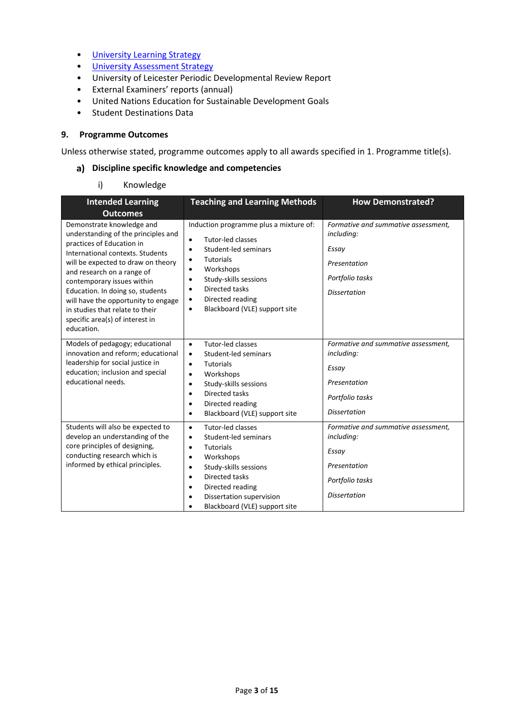- [University Learning](https://www2.le.ac.uk/offices/sas2/quality/learnteach) Strategy
- [University Assessment Strategy](https://www2.le.ac.uk/offices/sas2/quality/learnteach)
- University of Leicester Periodic Developmental Review Report
- External Examiners' reports (annual)
- United Nations Education for Sustainable Development Goals
- Student Destinations Data

#### **9. Programme Outcomes**

Unless otherwise stated, programme outcomes apply to all awards specified in [1.](#page-0-0) Programme title(s).

#### **Discipline specific knowledge and competencies**

#### i) Knowledge

| <b>Intended Learning</b><br><b>Outcomes</b>                                                                                                                                                                                                                                                                                                                                                        | <b>Teaching and Learning Methods</b>                                                                                                                                                                                                                                                                                         | <b>How Demonstrated?</b>                                                                                             |
|----------------------------------------------------------------------------------------------------------------------------------------------------------------------------------------------------------------------------------------------------------------------------------------------------------------------------------------------------------------------------------------------------|------------------------------------------------------------------------------------------------------------------------------------------------------------------------------------------------------------------------------------------------------------------------------------------------------------------------------|----------------------------------------------------------------------------------------------------------------------|
| Demonstrate knowledge and<br>understanding of the principles and<br>practices of Education in<br>International contexts, Students<br>will be expected to draw on theory<br>and research on a range of<br>contemporary issues within<br>Education. In doing so, students<br>will have the opportunity to engage<br>in studies that relate to their<br>specific area(s) of interest in<br>education. | Induction programme plus a mixture of:<br>Tutor-led classes<br>$\bullet$<br>Student-led seminars<br>$\bullet$<br><b>Tutorials</b><br>$\bullet$<br>Workshops<br>$\bullet$<br>Study-skills sessions<br>$\bullet$<br>Directed tasks<br>$\bullet$<br>Directed reading<br>$\bullet$<br>Blackboard (VLE) support site<br>$\bullet$ | Formative and summative assessment,<br>including:<br>Essay<br>Presentation<br>Portfolio tasks<br><b>Dissertation</b> |
| Models of pedagogy; educational<br>innovation and reform; educational<br>leadership for social justice in<br>education; inclusion and special<br>educational needs.                                                                                                                                                                                                                                | Tutor-led classes<br>$\bullet$<br>Student-led seminars<br>$\bullet$<br><b>Tutorials</b><br>$\bullet$<br>Workshops<br>$\bullet$<br>Study-skills sessions<br>$\bullet$<br>Directed tasks<br>$\bullet$<br>Directed reading<br>$\bullet$<br>Blackboard (VLE) support site<br>$\bullet$                                           | Formative and summative assessment,<br>including:<br>Essay<br>Presentation<br>Portfolio tasks<br><b>Dissertation</b> |
| Students will also be expected to<br>develop an understanding of the<br>core principles of designing,<br>conducting research which is<br>informed by ethical principles.                                                                                                                                                                                                                           | Tutor-led classes<br>$\bullet$<br>Student-led seminars<br>$\bullet$<br><b>Tutorials</b><br>$\bullet$<br>Workshops<br>$\bullet$<br>Study-skills sessions<br>$\bullet$<br>Directed tasks<br>$\bullet$<br>Directed reading<br>$\bullet$<br>Dissertation supervision<br>$\bullet$<br>Blackboard (VLE) support site<br>$\bullet$  | Formative and summative assessment.<br>including:<br>Essay<br>Presentation<br>Portfolio tasks<br><b>Dissertation</b> |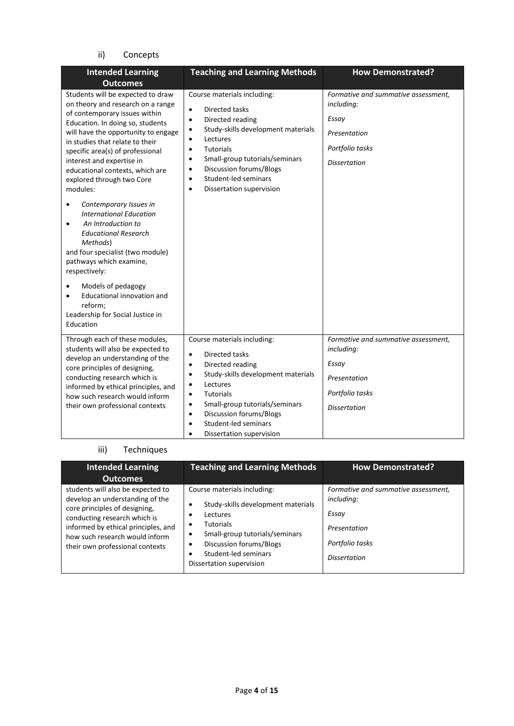# ii) Concepts

| <b>Intended Learning</b><br><b>Outcomes</b>                                                                                                                                                                                                                                                                                                                                                                                         | <b>Teaching and Learning Methods</b>                                                                                                                                                                                                                                                                                                                                          | <b>How Demonstrated?</b>                                                                                             |
|-------------------------------------------------------------------------------------------------------------------------------------------------------------------------------------------------------------------------------------------------------------------------------------------------------------------------------------------------------------------------------------------------------------------------------------|-------------------------------------------------------------------------------------------------------------------------------------------------------------------------------------------------------------------------------------------------------------------------------------------------------------------------------------------------------------------------------|----------------------------------------------------------------------------------------------------------------------|
| Students will be expected to draw<br>on theory and research on a range<br>of contemporary issues within<br>Education. In doing so, students<br>will have the opportunity to engage<br>in studies that relate to their<br>specific area(s) of professional<br>interest and expertise in<br>educational contexts, which are<br>explored through two Core<br>modules:<br>Contemporary Issues in<br>٠<br><b>International Education</b> | Course materials including:<br>Directed tasks<br>$\bullet$<br>Directed reading<br>$\bullet$<br>Study-skills development materials<br>٠<br>Lectures<br>$\bullet$<br><b>Tutorials</b><br>$\bullet$<br>Small-group tutorials/seminars<br>$\bullet$<br>Discussion forums/Blogs<br>$\bullet$<br>Student-led seminars<br>$\bullet$<br>Dissertation supervision<br>$\bullet$         | Formative and summative assessment,<br>including:<br>Essay<br>Presentation<br>Portfolio tasks<br><b>Dissertation</b> |
| An Introduction to<br>$\bullet$<br><b>Educational Research</b><br>Methods)<br>and four specialist (two module)<br>pathways which examine,<br>respectively:<br>Models of pedagogy                                                                                                                                                                                                                                                    |                                                                                                                                                                                                                                                                                                                                                                               |                                                                                                                      |
| Educational innovation and<br>reform;<br>Leadership for Social Justice in<br>Education                                                                                                                                                                                                                                                                                                                                              |                                                                                                                                                                                                                                                                                                                                                                               |                                                                                                                      |
| Through each of these modules,<br>students will also be expected to<br>develop an understanding of the<br>core principles of designing,<br>conducting research which is<br>informed by ethical principles, and<br>how such research would inform<br>their own professional contexts                                                                                                                                                 | Course materials including:<br>Directed tasks<br>$\bullet$<br>Directed reading<br>$\bullet$<br>Study-skills development materials<br>$\bullet$<br>Lectures<br>$\bullet$<br><b>Tutorials</b><br>$\bullet$<br>Small-group tutorials/seminars<br>$\bullet$<br>Discussion forums/Blogs<br>$\bullet$<br>Student-led seminars<br>$\bullet$<br>Dissertation supervision<br>$\bullet$ | Formative and summative assessment,<br>including:<br>Essay<br>Presentation<br>Portfolio tasks<br><b>Dissertation</b> |

# iii) Techniques

| <b>Intended Learning</b>                                                                                                                                                                                                                                             | <b>Teaching and Learning Methods</b>                                                                                                                                                                                              | <b>How Demonstrated?</b>                                                                                             |
|----------------------------------------------------------------------------------------------------------------------------------------------------------------------------------------------------------------------------------------------------------------------|-----------------------------------------------------------------------------------------------------------------------------------------------------------------------------------------------------------------------------------|----------------------------------------------------------------------------------------------------------------------|
| <b>Outcomes</b><br>students will also be expected to<br>develop an understanding of the<br>core principles of designing,<br>conducting research which is<br>informed by ethical principles, and<br>how such research would inform<br>their own professional contexts | Course materials including:<br>Study-skills development materials<br>Lectures<br><b>Tutorials</b><br>٠<br>Small-group tutorials/seminars<br>٠<br>Discussion forums/Blogs<br>٠<br>Student-led seminars<br>Dissertation supervision | Formative and summative assessment,<br>including:<br>Essay<br>Presentation<br>Portfolio tasks<br><b>Dissertation</b> |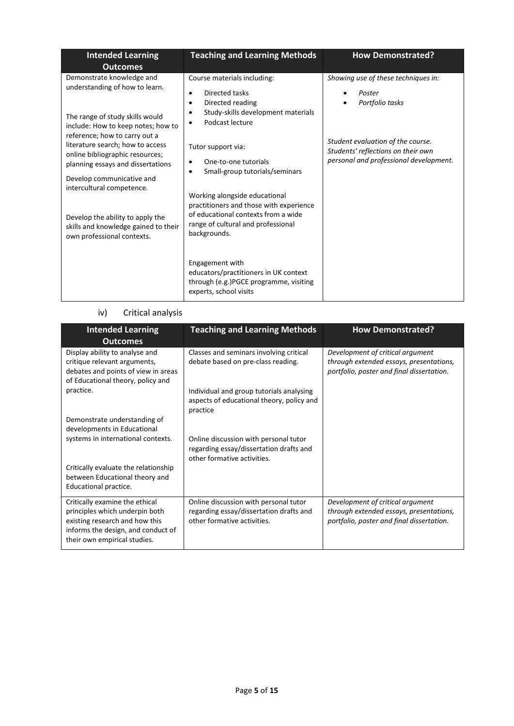| <b>Intended Learning</b><br><b>Outcomes</b>                                                                                                                                                         | <b>Teaching and Learning Methods</b>                                                                                                                                                                 | <b>How Demonstrated?</b>                                                                                          |
|-----------------------------------------------------------------------------------------------------------------------------------------------------------------------------------------------------|------------------------------------------------------------------------------------------------------------------------------------------------------------------------------------------------------|-------------------------------------------------------------------------------------------------------------------|
| Demonstrate knowledge and<br>understanding of how to learn.<br>The range of study skills would<br>include: How to keep notes; how to                                                                | Course materials including:<br>Directed tasks<br>$\bullet$<br>Directed reading<br>٠<br>Study-skills development materials<br>Podcast lecture                                                         | Showing use of these techniques in:<br>Poster<br>Portfolio tasks                                                  |
| reference; how to carry out a<br>literature search; how to access<br>online bibliographic resources;<br>planning essays and dissertations<br>Develop communicative and<br>intercultural competence. | Tutor support via:<br>One-to-one tutorials<br>Small-group tutorials/seminars<br>٠<br>Working alongside educational<br>practitioners and those with experience<br>of educational contexts from a wide | Student evaluation of the course.<br>Students' reflections on their own<br>personal and professional development. |
| Develop the ability to apply the<br>skills and knowledge gained to their<br>own professional contexts.                                                                                              | range of cultural and professional<br>backgrounds.<br>Engagement with<br>educators/practitioners in UK context<br>through (e.g.)PGCE programme, visiting<br>experts, school visits                   |                                                                                                                   |

# iv) Critical analysis

| <b>Intended Learning</b><br><b>Outcomes</b>                                                                                                                              | <b>Teaching and Learning Methods</b>                                                                            | <b>How Demonstrated?</b>                                                                                                 |
|--------------------------------------------------------------------------------------------------------------------------------------------------------------------------|-----------------------------------------------------------------------------------------------------------------|--------------------------------------------------------------------------------------------------------------------------|
| Display ability to analyse and<br>critique relevant arguments,<br>debates and points of view in areas<br>of Educational theory, policy and                               | Classes and seminars involving critical<br>debate based on pre-class reading.                                   | Development of critical argument<br>through extended essays, presentations,<br>portfolio, poster and final dissertation. |
| practice.                                                                                                                                                                | Individual and group tutorials analysing<br>aspects of educational theory, policy and<br>practice               |                                                                                                                          |
| Demonstrate understanding of<br>developments in Educational                                                                                                              |                                                                                                                 |                                                                                                                          |
| systems in international contexts.                                                                                                                                       | Online discussion with personal tutor<br>regarding essay/dissertation drafts and<br>other formative activities. |                                                                                                                          |
| Critically evaluate the relationship<br>between Educational theory and<br>Educational practice.                                                                          |                                                                                                                 |                                                                                                                          |
| Critically examine the ethical<br>principles which underpin both<br>existing research and how this<br>informs the design, and conduct of<br>their own empirical studies. | Online discussion with personal tutor<br>regarding essay/dissertation drafts and<br>other formative activities. | Development of critical argument<br>through extended essays, presentations,<br>portfolio, poster and final dissertation. |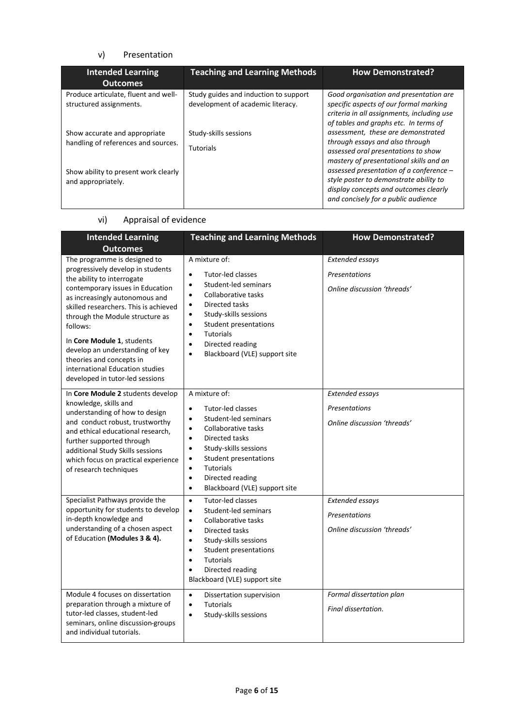#### v) Presentation

| <b>Intended Learning</b><br><b>Outcomes</b>                          | <b>Teaching and Learning Methods</b>                                       | <b>How Demonstrated?</b>                                                                                                                                                |
|----------------------------------------------------------------------|----------------------------------------------------------------------------|-------------------------------------------------------------------------------------------------------------------------------------------------------------------------|
| Produce articulate, fluent and well-<br>structured assignments.      | Study guides and induction to support<br>development of academic literacy. | Good organisation and presentation are<br>specific aspects of our formal marking<br>criteria in all assignments, including use<br>of tables and graphs etc. In terms of |
| Show accurate and appropriate<br>handling of references and sources. | Study-skills sessions<br><b>Tutorials</b>                                  | assessment, these are demonstrated<br>through essays and also through<br>assessed oral presentations to show<br>mastery of presentational skills and an                 |
| Show ability to present work clearly<br>and appropriately.           |                                                                            | assessed presentation of a conference -<br>style poster to demonstrate ability to<br>display concepts and outcomes clearly<br>and concisely for a public audience       |

# vi) Appraisal of evidence

| <b>Intended Learning</b><br><b>Outcomes</b>                                                                                                                                                                                                                                                                                                                                                                                      | <b>Teaching and Learning Methods</b>                                                                                                                                                                                                                                                                                                                       | <b>How Demonstrated?</b>                                                      |
|----------------------------------------------------------------------------------------------------------------------------------------------------------------------------------------------------------------------------------------------------------------------------------------------------------------------------------------------------------------------------------------------------------------------------------|------------------------------------------------------------------------------------------------------------------------------------------------------------------------------------------------------------------------------------------------------------------------------------------------------------------------------------------------------------|-------------------------------------------------------------------------------|
| The programme is designed to<br>progressively develop in students<br>the ability to interrogate<br>contemporary issues in Education<br>as increasingly autonomous and<br>skilled researchers. This is achieved<br>through the Module structure as<br>follows:<br>In Core Module 1, students<br>develop an understanding of key<br>theories and concepts in<br>international Education studies<br>developed in tutor-led sessions | A mixture of:<br><b>Tutor-led classes</b><br>$\bullet$<br>Student-led seminars<br>$\bullet$<br>Collaborative tasks<br>$\bullet$<br>Directed tasks<br>$\bullet$<br>Study-skills sessions<br>$\bullet$<br>Student presentations<br>$\bullet$<br><b>Tutorials</b><br>$\bullet$<br>Directed reading<br>$\bullet$<br>Blackboard (VLE) support site<br>$\bullet$ | <b>Extended essays</b><br><b>Presentations</b><br>Online discussion 'threads' |
| In Core Module 2 students develop<br>knowledge, skills and<br>understanding of how to design<br>and conduct robust, trustworthy<br>and ethical educational research,<br>further supported through<br>additional Study Skills sessions<br>which focus on practical experience<br>of research techniques                                                                                                                           | A mixture of:<br><b>Tutor-led classes</b><br>$\bullet$<br>Student-led seminars<br>$\bullet$<br>Collaborative tasks<br>$\bullet$<br>Directed tasks<br>$\bullet$<br>Study-skills sessions<br>$\bullet$<br>Student presentations<br>$\bullet$<br><b>Tutorials</b><br>$\bullet$<br>Directed reading<br>$\bullet$<br>Blackboard (VLE) support site<br>$\bullet$ | Extended essays<br>Presentations<br>Online discussion 'threads'               |
| Specialist Pathways provide the<br>opportunity for students to develop<br>in-depth knowledge and<br>understanding of a chosen aspect<br>of Education (Modules 3 & 4).                                                                                                                                                                                                                                                            | Tutor-led classes<br>$\bullet$<br>Student-led seminars<br>$\bullet$<br>Collaborative tasks<br>$\bullet$<br>Directed tasks<br>$\bullet$<br>Study-skills sessions<br>$\bullet$<br>Student presentations<br>$\bullet$<br><b>Tutorials</b><br>$\bullet$<br>Directed reading<br>$\bullet$<br>Blackboard (VLE) support site                                      | Extended essays<br><b>Presentations</b><br>Online discussion 'threads'        |
| Module 4 focuses on dissertation<br>preparation through a mixture of<br>tutor-led classes, student-led<br>seminars, online discussion-groups<br>and individual tutorials.                                                                                                                                                                                                                                                        | $\bullet$<br>Dissertation supervision<br><b>Tutorials</b><br>$\bullet$<br>Study-skills sessions<br>$\bullet$                                                                                                                                                                                                                                               | Formal dissertation plan<br>Final dissertation.                               |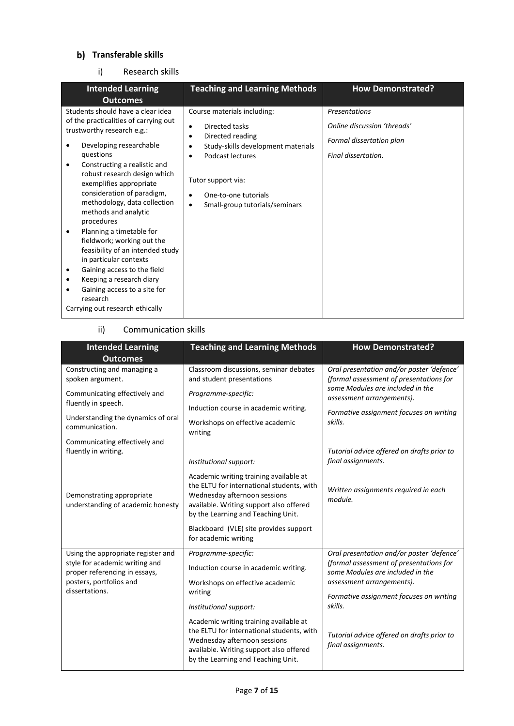# **Transferable skills**

#### i) Research skills

| <b>Intended Learning</b><br><b>Outcomes</b>                                                                                                                                                                                                                                                                                                                                                                                                                                                                           | <b>Teaching and Learning Methods</b>                                                                                                                                                                                                                                      | <b>How Demonstrated?</b>                                                                               |
|-----------------------------------------------------------------------------------------------------------------------------------------------------------------------------------------------------------------------------------------------------------------------------------------------------------------------------------------------------------------------------------------------------------------------------------------------------------------------------------------------------------------------|---------------------------------------------------------------------------------------------------------------------------------------------------------------------------------------------------------------------------------------------------------------------------|--------------------------------------------------------------------------------------------------------|
| Students should have a clear idea<br>of the practicalities of carrying out<br>trustworthy research e.g.:<br>Developing researchable<br>questions<br>Constructing a realistic and<br>٠<br>robust research design which<br>exemplifies appropriate<br>consideration of paradigm,<br>methodology, data collection<br>methods and analytic<br>procedures<br>Planning a timetable for<br>٠<br>fieldwork; working out the<br>feasibility of an intended study<br>in particular contexts<br>Gaining access to the field<br>٠ | Course materials including:<br>Directed tasks<br>$\bullet$<br>Directed reading<br>$\bullet$<br>Study-skills development materials<br>٠<br>Podcast lectures<br>٠<br>Tutor support via:<br>One-to-one tutorials<br>$\bullet$<br>Small-group tutorials/seminars<br>$\bullet$ | <b>Presentations</b><br>Online discussion 'threads'<br>Formal dissertation plan<br>Final dissertation. |
| Keeping a research diary<br>Gaining access to a site for<br>research<br>Carrying out research ethically                                                                                                                                                                                                                                                                                                                                                                                                               |                                                                                                                                                                                                                                                                           |                                                                                                        |

#### ii) Communication skills

| <b>Intended Learning</b><br><b>Outcomes</b>                     | <b>Teaching and Learning Methods</b>                                                                                                                                                                 | <b>How Demonstrated?</b>                                                             |
|-----------------------------------------------------------------|------------------------------------------------------------------------------------------------------------------------------------------------------------------------------------------------------|--------------------------------------------------------------------------------------|
| Constructing and managing a<br>spoken argument.                 | Classroom discussions, seminar debates<br>and student presentations                                                                                                                                  | Oral presentation and/or poster 'defence'<br>(formal assessment of presentations for |
| Communicating effectively and<br>fluently in speech.            | Programme-specific:                                                                                                                                                                                  | some Modules are included in the<br>assessment arrangements).                        |
|                                                                 | Induction course in academic writing.                                                                                                                                                                | Formative assignment focuses on writing                                              |
| Understanding the dynamics of oral<br>communication.            | Workshops on effective academic<br>writing                                                                                                                                                           | skills.                                                                              |
| Communicating effectively and<br>fluently in writing.           |                                                                                                                                                                                                      |                                                                                      |
|                                                                 | Institutional support:                                                                                                                                                                               | Tutorial advice offered on drafts prior to<br>final assignments.                     |
| Demonstrating appropriate<br>understanding of academic honesty  | Academic writing training available at<br>the ELTU for international students, with<br>Wednesday afternoon sessions<br>available. Writing support also offered<br>by the Learning and Teaching Unit. | Written assignments required in each<br>module.                                      |
|                                                                 | Blackboard (VLE) site provides support<br>for academic writing                                                                                                                                       |                                                                                      |
| Using the appropriate register and                              | Programme-specific:                                                                                                                                                                                  | Oral presentation and/or poster 'defence'                                            |
| style for academic writing and<br>proper referencing in essays, | Induction course in academic writing.                                                                                                                                                                | (formal assessment of presentations for<br>some Modules are included in the          |
| posters, portfolios and<br>dissertations.                       | Workshops on effective academic                                                                                                                                                                      | assessment arrangements).                                                            |
|                                                                 | writing<br>Institutional support:                                                                                                                                                                    | Formative assignment focuses on writing<br>skills.                                   |
|                                                                 | Academic writing training available at<br>the ELTU for international students, with<br>Wednesday afternoon sessions<br>available. Writing support also offered<br>by the Learning and Teaching Unit. | Tutorial advice offered on drafts prior to<br>final assignments.                     |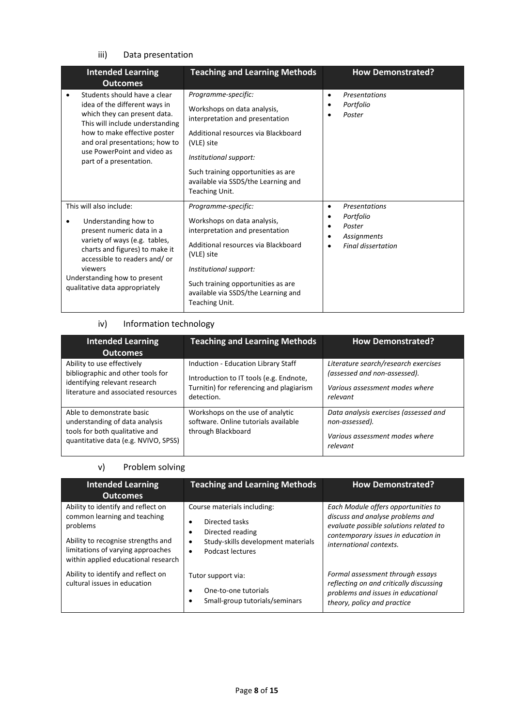## iii) Data presentation

| <b>Intended Learning</b><br><b>Outcomes</b>                                                                                                                                                                                                                  | <b>Teaching and Learning Methods</b>                                                                                                                                                                                                                                | <b>How Demonstrated?</b>                                                              |
|--------------------------------------------------------------------------------------------------------------------------------------------------------------------------------------------------------------------------------------------------------------|---------------------------------------------------------------------------------------------------------------------------------------------------------------------------------------------------------------------------------------------------------------------|---------------------------------------------------------------------------------------|
| Students should have a clear<br>idea of the different ways in<br>which they can present data.<br>This will include understanding<br>how to make effective poster<br>and oral presentations; how to<br>use PowerPoint and video as<br>part of a presentation. | Programme-specific:<br>Workshops on data analysis,<br>interpretation and presentation<br>Additional resources via Blackboard<br>(VLE) site<br>Institutional support:<br>Such training opportunities as are<br>available via SSDS/the Learning and<br>Teaching Unit. | <b>Presentations</b><br>٠<br>Portfolio<br>Poster                                      |
| This will also include:<br>Understanding how to<br>present numeric data in a<br>variety of ways (e.g. tables,<br>charts and figures) to make it<br>accessible to readers and/or<br>viewers<br>Understanding how to present<br>qualitative data appropriately | Programme-specific:<br>Workshops on data analysis,<br>interpretation and presentation<br>Additional resources via Blackboard<br>(VLE) site<br>Institutional support:<br>Such training opportunities as are<br>available via SSDS/the Learning and<br>Teaching Unit. | Presentations<br>٠<br>Portfolio<br>Poster<br>Assignments<br><b>Final dissertation</b> |

# iv) Information technology

| <b>Intended Learning</b><br><b>Outcomes</b>                                                                                             | <b>Teaching and Learning Methods</b>                                                                                                     | <b>How Demonstrated?</b>                                                                                           |
|-----------------------------------------------------------------------------------------------------------------------------------------|------------------------------------------------------------------------------------------------------------------------------------------|--------------------------------------------------------------------------------------------------------------------|
| Ability to use effectively<br>bibliographic and other tools for<br>identifying relevant research<br>literature and associated resources | Induction - Education Library Staff<br>Introduction to IT tools (e.g. Endnote,<br>Turnitin) for referencing and plagiarism<br>detection. | Literature search/research exercises<br>(assessed and non-assessed).<br>Various assessment modes where<br>relevant |
| Able to demonstrate basic<br>understanding of data analysis<br>tools for both qualitative and<br>quantitative data (e.g. NVIVO, SPSS)   | Workshops on the use of analytic<br>software. Online tutorials available<br>through Blackboard                                           | Data analysis exercises (assessed and<br>non-assessed).<br>Various assessment modes where<br>relevant              |

# v) Problem solving

| <b>Intended Learning</b><br><b>Outcomes</b>                                                                                                                                                      | <b>Teaching and Learning Methods</b>                                                                                                       | <b>How Demonstrated?</b>                                                                                                                                                            |
|--------------------------------------------------------------------------------------------------------------------------------------------------------------------------------------------------|--------------------------------------------------------------------------------------------------------------------------------------------|-------------------------------------------------------------------------------------------------------------------------------------------------------------------------------------|
| Ability to identify and reflect on<br>common learning and teaching<br>problems<br>Ability to recognise strengths and<br>limitations of varying approaches<br>within applied educational research | Course materials including:<br>Directed tasks<br>Directed reading<br>٠<br>Study-skills development materials<br>٠<br>Podcast lectures<br>٠ | Each Module offers opportunities to<br>discuss and analyse problems and<br>evaluate possible solutions related to<br>contemporary issues in education in<br>international contexts. |
| Ability to identify and reflect on<br>cultural issues in education                                                                                                                               | Tutor support via:<br>One-to-one tutorials<br>٠<br>Small-group tutorials/seminars<br>٠                                                     | Formal assessment through essays<br>reflecting on and critically discussing<br>problems and issues in educational<br>theory, policy and practice                                    |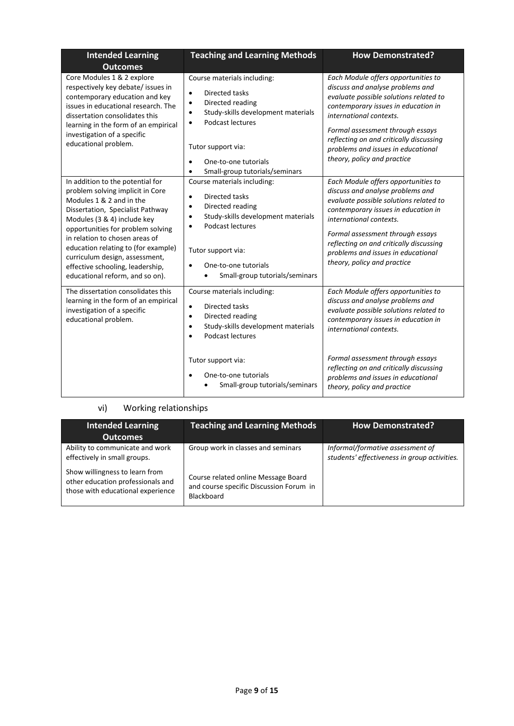| <b>Intended Learning</b><br><b>Outcomes</b>                                                                                                                                                                                                                                                                                                                                                | <b>Teaching and Learning Methods</b>                                                                                                                                                                                                                                         | <b>How Demonstrated?</b>                                                                                                                                                                                                                                                                                                                |
|--------------------------------------------------------------------------------------------------------------------------------------------------------------------------------------------------------------------------------------------------------------------------------------------------------------------------------------------------------------------------------------------|------------------------------------------------------------------------------------------------------------------------------------------------------------------------------------------------------------------------------------------------------------------------------|-----------------------------------------------------------------------------------------------------------------------------------------------------------------------------------------------------------------------------------------------------------------------------------------------------------------------------------------|
| Core Modules 1 & 2 explore<br>respectively key debate/ issues in<br>contemporary education and key<br>issues in educational research. The<br>dissertation consolidates this<br>learning in the form of an empirical<br>investigation of a specific<br>educational problem.                                                                                                                 | Course materials including:<br>Directed tasks<br>$\bullet$<br>Directed reading<br>$\bullet$<br>Study-skills development materials<br>$\bullet$<br>Podcast lectures<br>$\bullet$<br>Tutor support via:<br>One-to-one tutorials<br>$\bullet$<br>Small-group tutorials/seminars | Each Module offers opportunities to<br>discuss and analyse problems and<br>evaluate possible solutions related to<br>contemporary issues in education in<br>international contexts.<br>Formal assessment through essays<br>reflecting on and critically discussing<br>problems and issues in educational<br>theory, policy and practice |
| In addition to the potential for<br>problem solving implicit in Core<br>Modules 1 & 2 and in the<br>Dissertation, Specialist Pathway<br>Modules (3 & 4) include key<br>opportunities for problem solving<br>in relation to chosen areas of<br>education relating to (for example)<br>curriculum design, assessment,<br>effective schooling, leadership,<br>educational reform, and so on). | Course materials including:<br>Directed tasks<br>$\bullet$<br>Directed reading<br>$\bullet$<br>Study-skills development materials<br>$\bullet$<br>Podcast lectures<br>$\bullet$<br>Tutor support via:<br>One-to-one tutorials<br>Small-group tutorials/seminars              | Each Module offers opportunities to<br>discuss and analyse problems and<br>evaluate possible solutions related to<br>contemporary issues in education in<br>international contexts.<br>Formal assessment through essays<br>reflecting on and critically discussing<br>problems and issues in educational<br>theory, policy and practice |
| The dissertation consolidates this<br>learning in the form of an empirical<br>investigation of a specific<br>educational problem.                                                                                                                                                                                                                                                          | Course materials including:<br>Directed tasks<br>$\bullet$<br>Directed reading<br>$\bullet$<br>Study-skills development materials<br>$\bullet$<br>Podcast lectures<br>$\bullet$<br>Tutor support via:                                                                        | Each Module offers opportunities to<br>discuss and analyse problems and<br>evaluate possible solutions related to<br>contemporary issues in education in<br>international contexts.<br>Formal assessment through essays                                                                                                                 |
|                                                                                                                                                                                                                                                                                                                                                                                            | One-to-one tutorials<br>Small-group tutorials/seminars                                                                                                                                                                                                                       | reflecting on and critically discussing<br>problems and issues in educational<br>theory, policy and practice                                                                                                                                                                                                                            |

# vi) Working relationships

| <b>Intended Learning</b><br><b>Outcomes</b>                                                              | <b>Teaching and Learning Methods</b>                                                         | <b>How Demonstrated?</b>                                                         |
|----------------------------------------------------------------------------------------------------------|----------------------------------------------------------------------------------------------|----------------------------------------------------------------------------------|
| Ability to communicate and work<br>effectively in small groups.                                          | Group work in classes and seminars                                                           | Informal/formative assessment of<br>students' effectiveness in group activities. |
| Show willingness to learn from<br>other education professionals and<br>those with educational experience | Course related online Message Board<br>and course specific Discussion Forum in<br>Blackboard |                                                                                  |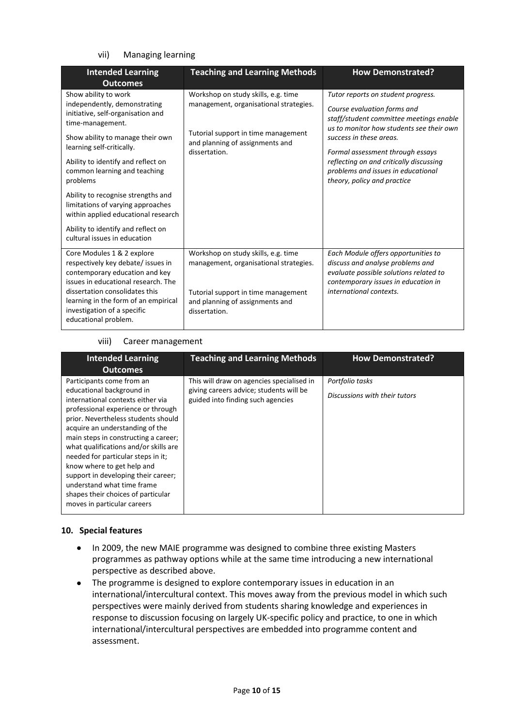#### vii) Managing learning

| <b>Intended Learning</b><br><b>Outcomes</b>                                                                                                                                                                                                                                | <b>Teaching and Learning Methods</b>                                                                                                                                     | <b>How Demonstrated?</b>                                                                                                                                                            |  |
|----------------------------------------------------------------------------------------------------------------------------------------------------------------------------------------------------------------------------------------------------------------------------|--------------------------------------------------------------------------------------------------------------------------------------------------------------------------|-------------------------------------------------------------------------------------------------------------------------------------------------------------------------------------|--|
| Show ability to work                                                                                                                                                                                                                                                       | Workshop on study skills, e.g. time                                                                                                                                      | Tutor reports on student progress.                                                                                                                                                  |  |
| independently, demonstrating<br>initiative, self-organisation and<br>time-management.                                                                                                                                                                                      | management, organisational strategies.                                                                                                                                   | Course evaluation forms and<br>staff/student committee meetings enable<br>us to monitor how students see their own                                                                  |  |
| Show ability to manage their own<br>learning self-critically.                                                                                                                                                                                                              | Tutorial support in time management<br>and planning of assignments and<br>dissertation.                                                                                  | success in these areas.<br>Formal assessment through essays<br>reflecting on and critically discussing<br>problems and issues in educational<br>theory, policy and practice         |  |
| Ability to identify and reflect on<br>common learning and teaching<br>problems                                                                                                                                                                                             |                                                                                                                                                                          |                                                                                                                                                                                     |  |
| Ability to recognise strengths and<br>limitations of varying approaches<br>within applied educational research                                                                                                                                                             |                                                                                                                                                                          |                                                                                                                                                                                     |  |
| Ability to identify and reflect on<br>cultural issues in education                                                                                                                                                                                                         |                                                                                                                                                                          |                                                                                                                                                                                     |  |
| Core Modules 1 & 2 explore<br>respectively key debate/ issues in<br>contemporary education and key<br>issues in educational research. The<br>dissertation consolidates this<br>learning in the form of an empirical<br>investigation of a specific<br>educational problem. | Workshop on study skills, e.g. time<br>management, organisational strategies.<br>Tutorial support in time management<br>and planning of assignments and<br>dissertation. | Each Module offers opportunities to<br>discuss and analyse problems and<br>evaluate possible solutions related to<br>contemporary issues in education in<br>international contexts. |  |

#### viii) Career management

| <b>Intended Learning</b>                                                                                                                                                                                                                                                                                                                                                                                                                                                                                   | <b>Teaching and Learning Methods</b>                                                                                      | <b>How Demonstrated?</b>                         |
|------------------------------------------------------------------------------------------------------------------------------------------------------------------------------------------------------------------------------------------------------------------------------------------------------------------------------------------------------------------------------------------------------------------------------------------------------------------------------------------------------------|---------------------------------------------------------------------------------------------------------------------------|--------------------------------------------------|
| <b>Outcomes</b>                                                                                                                                                                                                                                                                                                                                                                                                                                                                                            |                                                                                                                           |                                                  |
| Participants come from an<br>educational background in<br>international contexts either via<br>professional experience or through<br>prior. Nevertheless students should<br>acquire an understanding of the<br>main steps in constructing a career;<br>what qualifications and/or skills are<br>needed for particular steps in it;<br>know where to get help and<br>support in developing their career;<br>understand what time frame<br>shapes their choices of particular<br>moves in particular careers | This will draw on agencies specialised in<br>giving careers advice; students will be<br>guided into finding such agencies | Portfolio tasks<br>Discussions with their tutors |

#### **10. Special features**

- In 2009, the new MAIE programme was designed to combine three existing Masters programmes as pathway options while at the same time introducing a new international perspective as described above.
- The programme is designed to explore contemporary issues in education in an international/intercultural context. This moves away from the previous model in which such perspectives were mainly derived from students sharing knowledge and experiences in response to discussion focusing on largely UK-specific policy and practice, to one in which international/intercultural perspectives are embedded into programme content and assessment.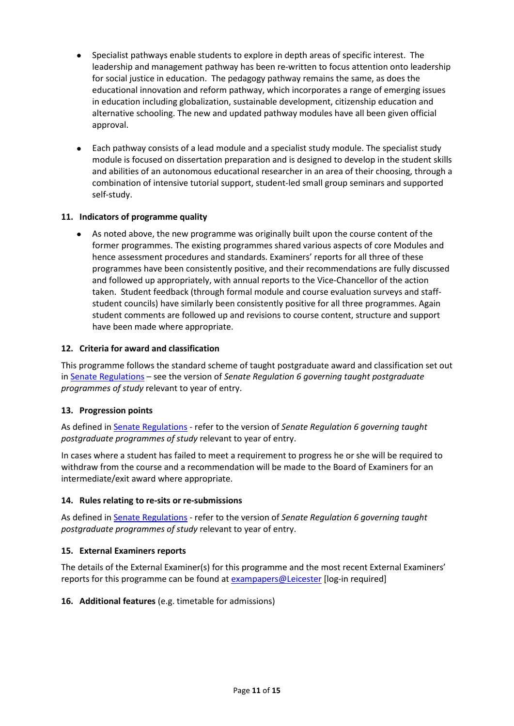- Specialist pathways enable students to explore in depth areas of specific interest. The leadership and management pathway has been re-written to focus attention onto leadership for social justice in education. The pedagogy pathway remains the same, as does the educational innovation and reform pathway, which incorporates a range of emerging issues in education including globalization, sustainable development, citizenship education and alternative schooling. The new and updated pathway modules have all been given official approval.
- Each pathway consists of a lead module and a specialist study module. The specialist study module is focused on dissertation preparation and is designed to develop in the student skills and abilities of an autonomous educational researcher in an area of their choosing, through a combination of intensive tutorial support, student-led small group seminars and supported self-study.

#### **11. Indicators of programme quality**

• As noted above, the new programme was originally built upon the course content of the former programmes. The existing programmes shared various aspects of core Modules and hence assessment procedures and standards. Examiners' reports for all three of these programmes have been consistently positive, and their recommendations are fully discussed and followed up appropriately, with annual reports to the Vice-Chancellor of the action taken. Student feedback (through formal module and course evaluation surveys and staffstudent councils) have similarly been consistently positive for all three programmes. Again student comments are followed up and revisions to course content, structure and support have been made where appropriate.

#### **12. Criteria for award and classification**

This programme follows the standard scheme of taught postgraduate award and classification set out i[n Senate Regulations](http://www.le.ac.uk/senate-regulations) – see the version of *Senate Regulation 6 governing taught postgraduate programmes of study* relevant to year of entry.

#### **13. Progression points**

As defined i[n Senate Regulations](http://www.le.ac.uk/senate-regulation6) - refer to the version of *Senate Regulation 6 governing taught postgraduate programmes of study* relevant to year of entry.

In cases where a student has failed to meet a requirement to progress he or she will be required to withdraw from the course and a recommendation will be made to the Board of Examiners for an intermediate/exit award where appropriate.

#### **14. Rules relating to re-sits or re-submissions**

As defined i[n Senate Regulations](http://www.le.ac.uk/senate-regulation6) - refer to the version of *Senate Regulation 6 governing taught postgraduate programmes of study* relevant to year of entry.

#### **15. External Examiners reports**

The details of the External Examiner(s) for this programme and the most recent External Examiners' reports for this programme can be found at **exampapers@Leicester** [log-in required]

#### **16. Additional features** (e.g. timetable for admissions)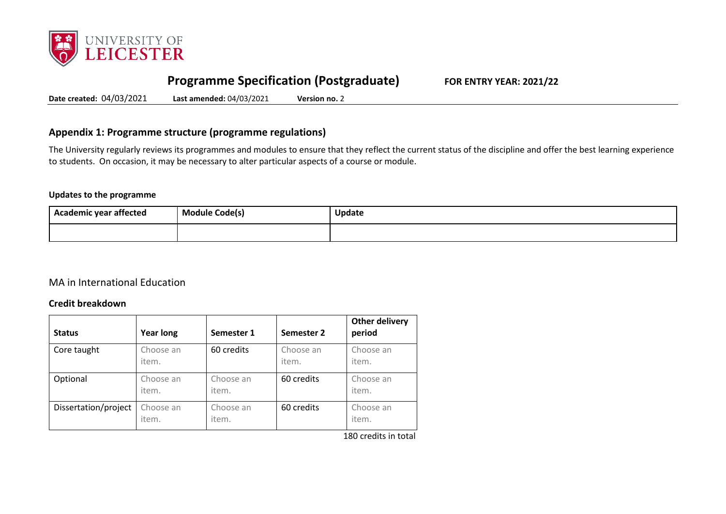

# **Programme Specification (Postgraduate) FOR ENTRY YEAR: 2021/22**

**Date created:** 04/03/2021 **Last amended:** 04/03/2021 **Version no.** 2

# **Appendix 1: Programme structure (programme regulations)**

The University regularly reviews its programmes and modules to ensure that they reflect the current status of the discipline and offer the best learning experience to students. On occasion, it may be necessary to alter particular aspects of a course or module.

#### **Updates to the programme**

| <b>Academic year affected</b> | . .<br><b>Module Code(s)</b> | <b>Update</b> |
|-------------------------------|------------------------------|---------------|
|                               |                              |               |

# MA in International Education

### **Credit breakdown**

| <b>Status</b>        | <b>Year long</b>   | Semester 1         | Semester 2         | <b>Other delivery</b><br>period |
|----------------------|--------------------|--------------------|--------------------|---------------------------------|
| Core taught          | Choose an<br>item. | 60 credits         | Choose an<br>item. | Choose an<br>item.              |
| Optional             | Choose an<br>item. | Choose an<br>item. | 60 credits         | Choose an<br>item.              |
| Dissertation/project | Choose an<br>item. | Choose an<br>item. | 60 credits         | Choose an<br>item.              |

180 credits in total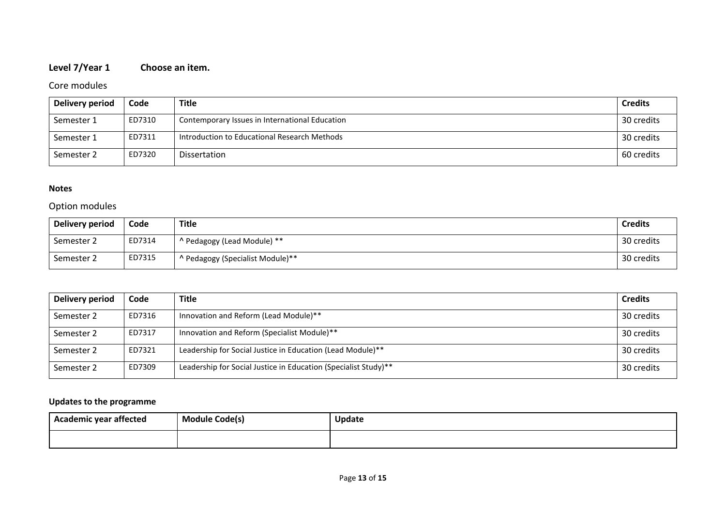# **Level 7/Year 1 Choose an item.**

# Core modules

| Delivery period | Code   | <b>Title</b>                                   | <b>Credits</b> |
|-----------------|--------|------------------------------------------------|----------------|
| Semester 1      | ED7310 | Contemporary Issues in International Education | 30 credits     |
| Semester 1      | ED7311 | Introduction to Educational Research Methods   | 30 credits     |
| Semester 2      | ED7320 | Dissertation                                   | 60 credits     |

#### **Notes**

# Option modules

| Delivery period | Code   | <b>Title</b>                     | <b>Credits</b> |
|-----------------|--------|----------------------------------|----------------|
| Semester 2      | ED7314 | ^ Pedagogy (Lead Module) **      | 30 credits     |
| Semester 2      | ED7315 | ^ Pedagogy (Specialist Module)** | 30 credits     |

| <b>Delivery period</b> | Code   | <b>Title</b>                                                    | <b>Credits</b> |
|------------------------|--------|-----------------------------------------------------------------|----------------|
| Semester 2             | ED7316 | Innovation and Reform (Lead Module)**                           | 30 credits     |
| Semester 2             | ED7317 | Innovation and Reform (Specialist Module)**                     | 30 credits     |
| Semester 2             | ED7321 | Leadership for Social Justice in Education (Lead Module)**      | 30 credits     |
| Semester 2             | ED7309 | Leadership for Social Justice in Education (Specialist Study)** | 30 credits     |

# **Updates to the programme**

| <b>Academic year affected</b> | <b>Module Code(s)</b> | Update |
|-------------------------------|-----------------------|--------|
|                               |                       |        |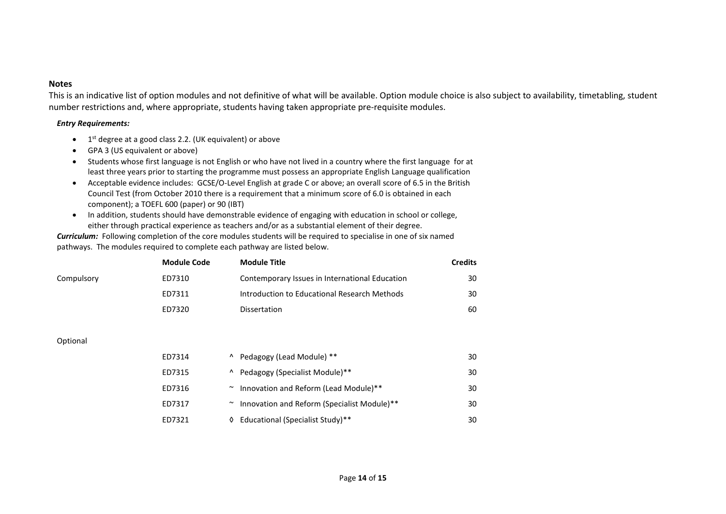#### **Notes**

This is an indicative list of option modules and not definitive of what will be available. Option module choice is also subject to availability, timetabling, student number restrictions and, where appropriate, students having taken appropriate pre-requisite modules.

#### *Entry Requirements:*

- $\bullet$  1<sup>st</sup> degree at a good class 2.2. (UK equivalent) or above
- GPA 3 (US equivalent or above)
- Students whose first language is not English or who have not lived in a country where the first language for at least three years prior to starting the programme must possess an appropriate English Language qualification
- Acceptable evidence includes: GCSE/O-Level English at grade C or above; an overall score of 6.5 in the British Council Test (from October 2010 there is a requirement that a minimum score of 6.0 is obtained in each component); a TOEFL 600 (paper) or 90 (IBT)
- In addition, students should have demonstrable evidence of engaging with education in school or college, either through practical experience as teachers and/or as a substantial element of their degree.

*Curriculum:* Following completion of the core modules students will be required to specialise in one of six named pathways. The modules required to complete each pathway are listed below.

|            | Module Code | <b>Module Title</b>                            | <b>Credits</b> |
|------------|-------------|------------------------------------------------|----------------|
| Compulsory | ED7310      | Contemporary Issues in International Education | 30             |
|            | ED7311      | Introduction to Educational Research Methods   | 30             |
|            | ED7320      | <b>Dissertation</b>                            | 60             |

#### Optional

| ED7314 |                    | <sup>^</sup> Pedagogy (Lead Module) **      | 30 |
|--------|--------------------|---------------------------------------------|----|
| ED7315 | $\mathbf{\Lambda}$ | Pedagogy (Specialist Module)**              | 30 |
| ED7316 |                    | Innovation and Reform (Lead Module)**       | 30 |
| ED7317 |                    | Innovation and Reform (Specialist Module)** | 30 |
| ED7321 |                    | <b>Educational (Specialist Study)**</b>     | 30 |